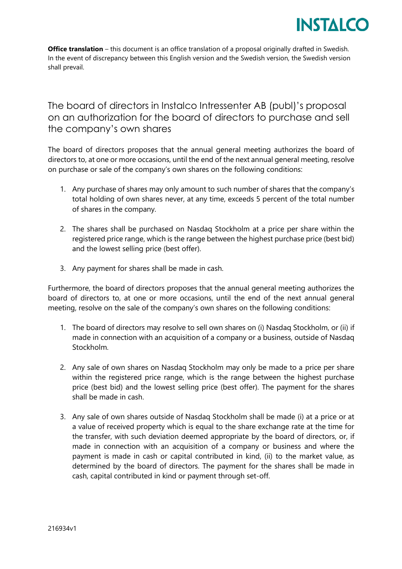

**Office translation** – this document is an office translation of a proposal originally drafted in Swedish. In the event of discrepancy between this English version and the Swedish version, the Swedish version shall prevail.

The board of directors in Instalco Intressenter AB (publ)'s proposal on an authorization for the board of directors to purchase and sell the company's own shares

The board of directors proposes that the annual general meeting authorizes the board of directors to, at one or more occasions, until the end of the next annual general meeting, resolve on purchase or sale of the company's own shares on the following conditions:

- 1. Any purchase of shares may only amount to such number of shares that the company's total holding of own shares never, at any time, exceeds 5 percent of the total number of shares in the company.
- 2. The shares shall be purchased on Nasdaq Stockholm at a price per share within the registered price range, which is the range between the highest purchase price (best bid) and the lowest selling price (best offer).
- 3. Any payment for shares shall be made in cash.

Furthermore, the board of directors proposes that the annual general meeting authorizes the board of directors to, at one or more occasions, until the end of the next annual general meeting, resolve on the sale of the company's own shares on the following conditions:

- 1. The board of directors may resolve to sell own shares on (i) Nasdaq Stockholm, or (ii) if made in connection with an acquisition of a company or a business, outside of Nasdaq Stockholm.
- 2. Any sale of own shares on Nasdaq Stockholm may only be made to a price per share within the registered price range, which is the range between the highest purchase price (best bid) and the lowest selling price (best offer). The payment for the shares shall be made in cash.
- 3. Any sale of own shares outside of Nasdaq Stockholm shall be made (i) at a price or at a value of received property which is equal to the share exchange rate at the time for the transfer, with such deviation deemed appropriate by the board of directors, or, if made in connection with an acquisition of a company or business and where the payment is made in cash or capital contributed in kind, (ii) to the market value, as determined by the board of directors. The payment for the shares shall be made in cash, capital contributed in kind or payment through set-off.